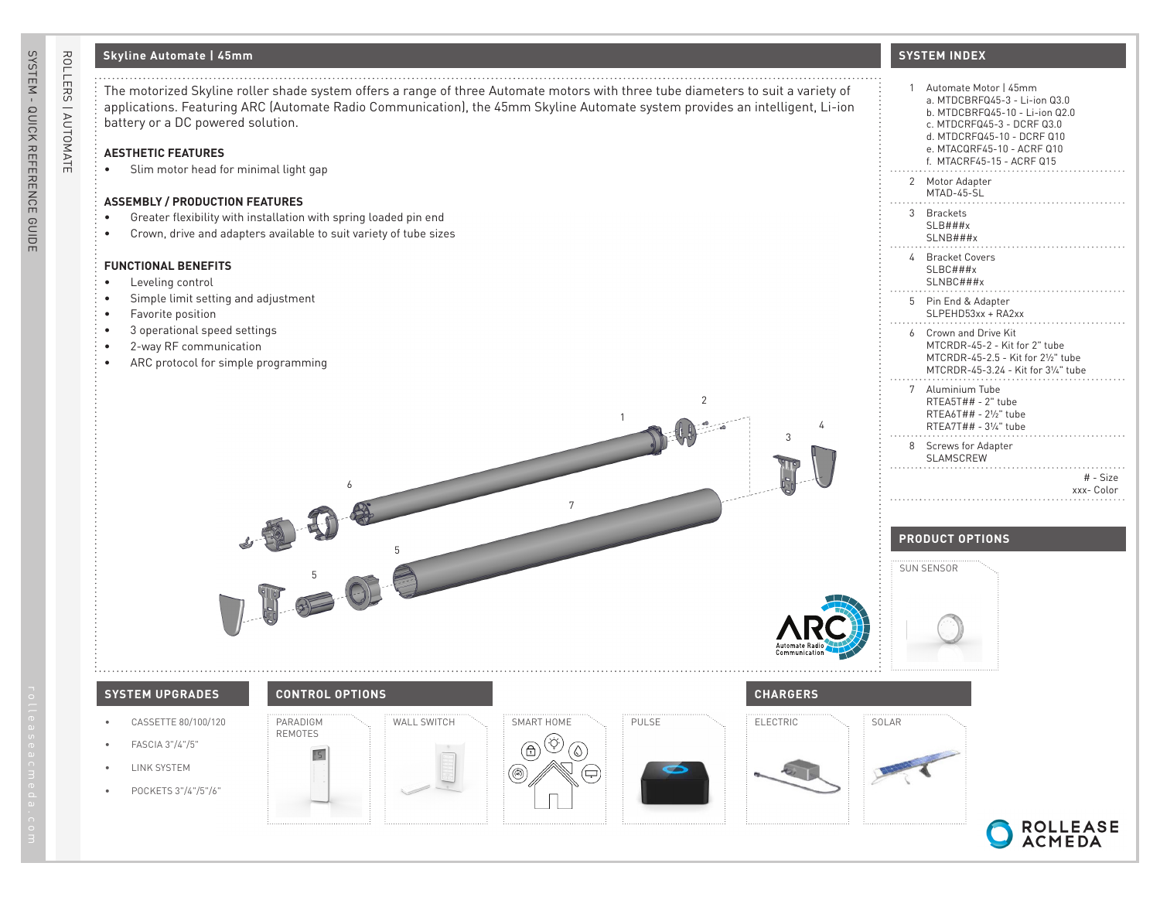## **Skyline Automate | 45mm**

## **AESTHETIC FEATURES**

• Slim motor head for minimal light gap

### **ASSEMBLY / PRODUCTION FEATURES**

- Greater flexibility with installation with spring loaded pin end
- Crown, drive and adapters available to suit variety of tube sizes

#### **FUNCTIONAL BENEFITS**

- Leveling control
- Simple limit setting and adjustment
- Favorite position
- 3 operational speed settings
- 2-way RF communication
- ARC protocol for simple programming

## **SYSTEM INDEX**

| Automate Motor   45mm<br>a. MTDCBRFQ45-3 - Li-ion Q3.0<br>b. MTDCBRF045-10 - Li-ion 02.0<br>c. MTDCRF045-3 - DCRF 03.0<br>d. MTDCRF045-10 - DCRF 010<br>e. MTACQRF45-10 - ACRF Q10<br>f. MTACRF45-15 - ACRF Q15 | 1                                               |
|-----------------------------------------------------------------------------------------------------------------------------------------------------------------------------------------------------------------|-------------------------------------------------|
|                                                                                                                                                                                                                 | 2<br>Motor Adapter<br>MTAD-45-SL                |
|                                                                                                                                                                                                                 | 3<br><b>Brackets</b><br>SLB###x<br>SLNB###x     |
|                                                                                                                                                                                                                 | 4<br>Bracket Covers<br>$SLBC$ ###x<br>SLNBC###x |
| Pin End & Adapter<br>SLPEHD53xx + RA2xx                                                                                                                                                                         | 5                                               |
| Crown and Drive Kit<br>MTCRDR-45-2 - Kit for 2" tube<br>MTCRDR-45-2.5 - Kit for 21/2" tube<br>MTCRDR-45-3.24 - Kit for 31/4" tube                                                                               | 6                                               |
| Aluminium Tube<br>RTEA5T## - 2" tube<br>RTEA6T## - 21/2" tube<br>RTEA7T## - 31/4" tube                                                                                                                          | 7                                               |
| Screws for Adapter                                                                                                                                                                                              | 8<br><b>SLAMSCREW</b>                           |
| # - Size<br>xxx-Color                                                                                                                                                                                           |                                                 |
|                                                                                                                                                                                                                 |                                                 |

## **PRODUCT OPTIONS**



# **SYSTEM UPGRADES CONTROL OPTIONS CHARGERS**

- CASSETTE 80/100/120
- FASCIA 3"/4"/5"
- LINK SYSTEM
- POCKETS 3"/4"/5"/6"



PARADIGM REMOTES

6

5



7

1

2





4

3





SYSTEM - QUICK REFERENCE GUIDE

SYSTEM - QUICK REFERENCE GUIDE